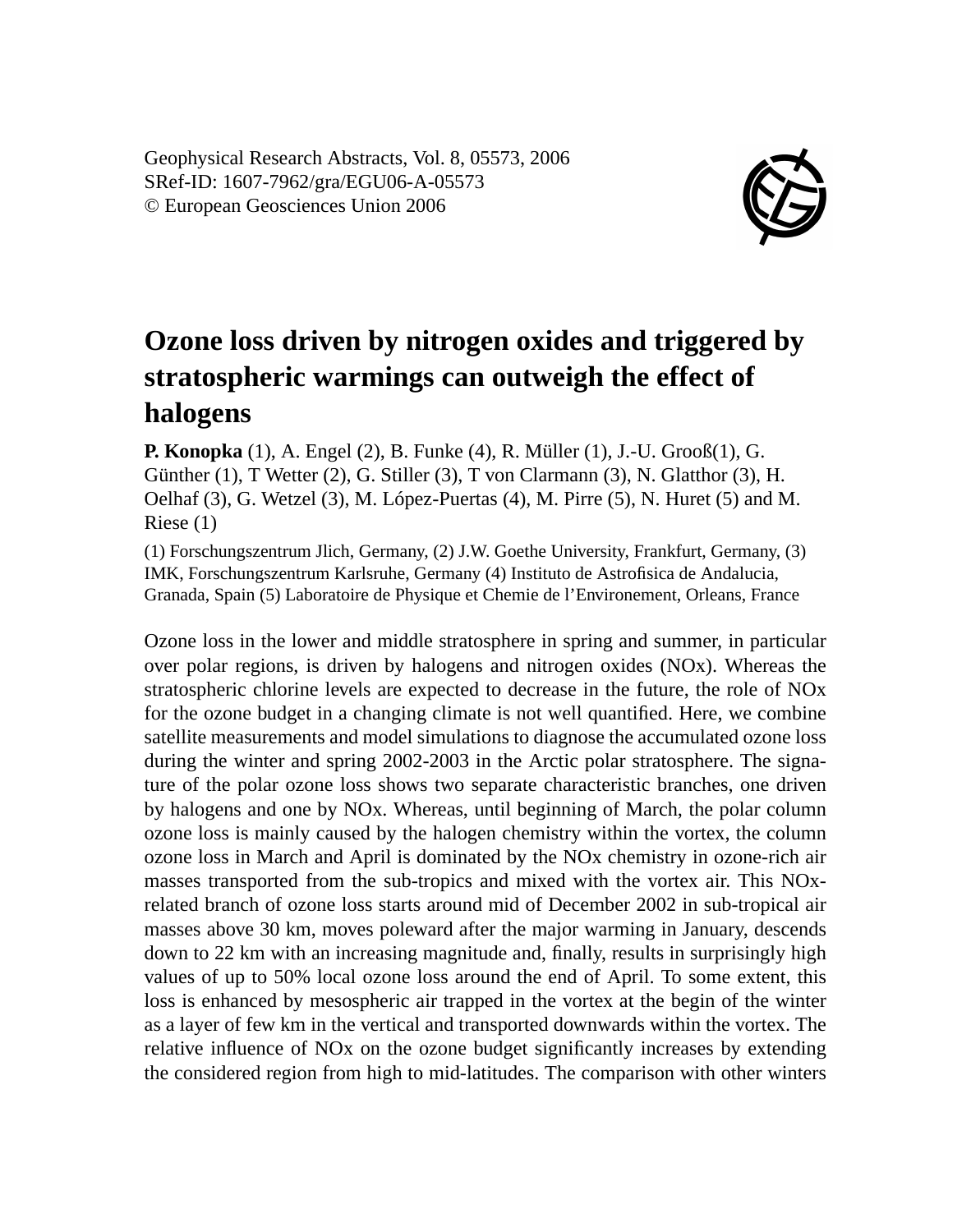Geophysical Research Abstracts, Vol. 8, 05573, 2006 SRef-ID: 1607-7962/gra/EGU06-A-05573 © European Geosciences Union 2006



## **Ozone loss driven by nitrogen oxides and triggered by stratospheric warmings can outweigh the effect of halogens**

**P. Konopka** (1), A. Engel (2), B. Funke (4), R. Müller (1), J.-U. Grooß(1), G. Günther (1), T Wetter (2), G. Stiller (3), T von Clarmann (3), N. Glatthor (3), H. Oelhaf (3), G. Wetzel (3), M. López-Puertas (4), M. Pirre (5), N. Huret (5) and M. Riese (1)

(1) Forschungszentrum Jlich, Germany, (2) J.W. Goethe University, Frankfurt, Germany, (3) IMK, Forschungszentrum Karlsruhe, Germany (4) Instituto de Astrofisica de Andalucia, Granada, Spain (5) Laboratoire de Physique et Chemie de l'Environement, Orleans, France

Ozone loss in the lower and middle stratosphere in spring and summer, in particular over polar regions, is driven by halogens and nitrogen oxides (NOx). Whereas the stratospheric chlorine levels are expected to decrease in the future, the role of NOx for the ozone budget in a changing climate is not well quantified. Here, we combine satellite measurements and model simulations to diagnose the accumulated ozone loss during the winter and spring 2002-2003 in the Arctic polar stratosphere. The signature of the polar ozone loss shows two separate characteristic branches, one driven by halogens and one by NOx. Whereas, until beginning of March, the polar column ozone loss is mainly caused by the halogen chemistry within the vortex, the column ozone loss in March and April is dominated by the NOx chemistry in ozone-rich air masses transported from the sub-tropics and mixed with the vortex air. This NOxrelated branch of ozone loss starts around mid of December 2002 in sub-tropical air masses above 30 km, moves poleward after the major warming in January, descends down to 22 km with an increasing magnitude and, finally, results in surprisingly high values of up to 50% local ozone loss around the end of April. To some extent, this loss is enhanced by mesospheric air trapped in the vortex at the begin of the winter as a layer of few km in the vertical and transported downwards within the vortex. The relative influence of NOx on the ozone budget significantly increases by extending the considered region from high to mid-latitudes. The comparison with other winters